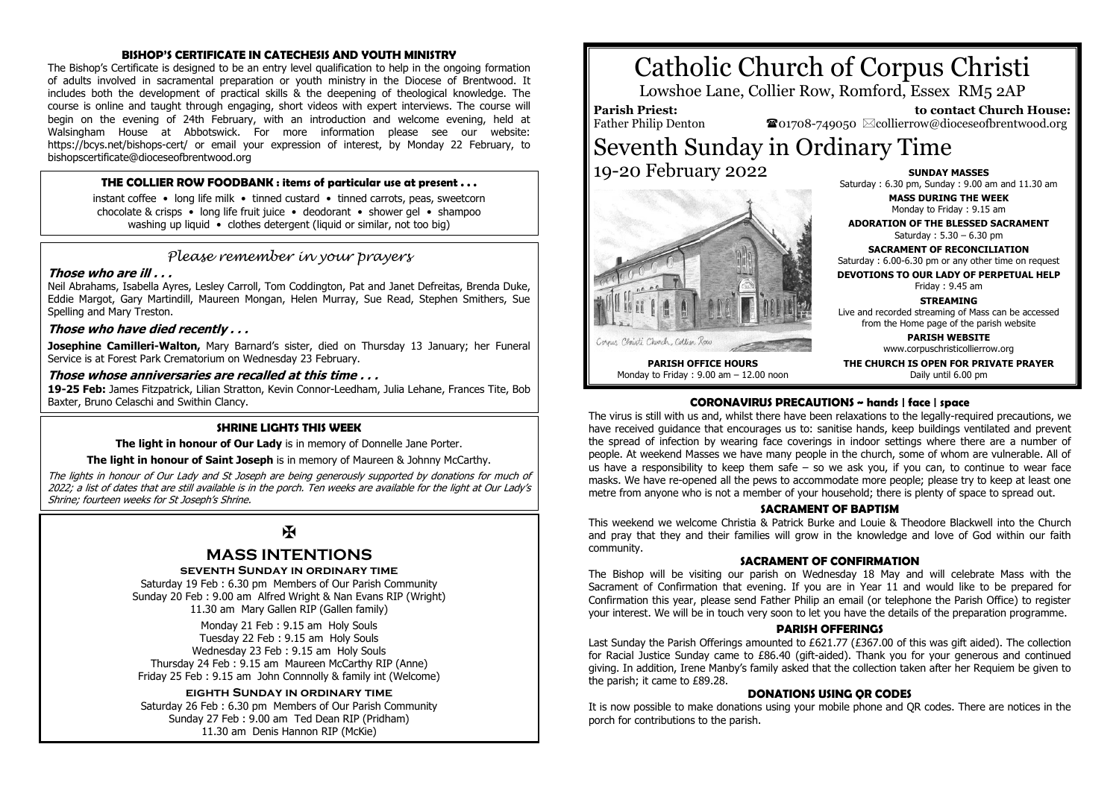### **BISHOP'S CERTIFICATE IN CATECHESIS AND YOUTH MINISTRY**

The Bishop's Certificate is designed to be an entry level qualification to help in the ongoing formation of adults involved in sacramental preparation or youth ministry in the Diocese of Brentwood. It includes both the development of practical skills & the deepening of theological knowledge. The course is online and taught through engaging, short videos with expert interviews. The course will begin on the evening of 24th February, with an introduction and welcome evening, held at Walsingham House at Abbotswick. For more information please see our website: https://bcys.net/bishops-cert/ or email your expression of interest, by Monday 22 February, to bishopscertificate@dioceseofbrentwood.org

### **THE COLLIER ROW FOODBANK : items of particular use at present . . .**

instant coffee • long life milk • tinned custard • tinned carrots, peas, sweetcorn chocolate & crisps • long life fruit juice • deodorant • shower gel • shampoo washing up liquid • clothes detergent (liquid or similar, not too big)

### *Please remember in your prayers*

### **Those who are ill . . .**

Neil Abrahams, Isabella Ayres, Lesley Carroll, Tom Coddington, Pat and Janet Defreitas, Brenda Duke, Eddie Margot, Gary Martindill, Maureen Mongan, Helen Murray, Sue Read, Stephen Smithers, Sue Spelling and Mary Treston.

### **Those who have died recently . . .**

**Josephine Camilleri-Walton,** Mary Barnard's sister, died on Thursday 13 January; her Funeral Service is at Forest Park Crematorium on Wednesday 23 February.

### **Those whose anniversaries are recalled at this time . . .**

**19-25 Feb:** James Fitzpatrick, Lilian Stratton, Kevin Connor-Leedham, Julia Lehane, Frances Tite, Bob Baxter, Bruno Celaschi and Swithin Clancy.

### **SHRINE LIGHTS THIS WEEK**

**The light in honour of Our Lady** is in memory of Donnelle Jane Porter.

**The light in honour of Saint Joseph** is in memory of Maureen & Johnny McCarthy.

The lights in honour of Our Lady and St Joseph are being generously supported by donations for much of 2022; a list of dates that are still available is in the porch. Ten weeks are available for the light at Our Lady's Shrine; fourteen weeks for St Joseph's Shrine.

## $\mathbf{F}$

## **MASS INTENTIONS**

### **seventh Sunday in ordinary time**

Saturday 19 Feb : 6.30 pm Members of Our Parish Community Sunday 20 Feb : 9.00 am Alfred Wright & Nan Evans RIP (Wright) 11.30 am Mary Gallen RIP (Gallen family)

Monday 21 Feb : 9.15 am Holy Souls Tuesday 22 Feb : 9.15 am Holy Souls Wednesday 23 Feb : 9.15 am Holy Souls Thursday 24 Feb : 9.15 am Maureen McCarthy RIP (Anne) Friday 25 Feb : 9.15 am John Connnolly & family int (Welcome)

### **eighth Sunday in ordinary time**

Saturday 26 Feb : 6.30 pm Members of Our Parish Community Sunday 27 Feb : 9.00 am Ted Dean RIP (Pridham) 11.30 am Denis Hannon RIP (McKie)

# Catholic Church of Corpus Christi

Lowshoe Lane, Collier Row, Romford, Essex RM5 2AP

## **Parish Priest:**

Father Philip Denton

Cornus Christi Church, Collier Row

 **to contact Church House:**  $\mathbf{\Omega}_{01708\text{-}749050}$   $\boxtimes$  collierrow@dioceseofbrentwood.org

## Seventh Sunday in Ordinary Time 19-20 February 2022

**PARISH OFFICE HOURS** Monday to Friday : 9.00 am – 12.00 noon

**SUNDAY MASSES** Saturday : 6.30 pm, Sunday : 9.00 am and 11.30 am

> **MASS DURING THE WEEK** Monday to Friday : 9.15 am

**ADORATION OF THE BLESSED SACRAMENT** Saturday : 5.30 – 6.30 pm

**SACRAMENT OF RECONCILIATION** Saturday : 6.00-6.30 pm or any other time on request

**DEVOTIONS TO OUR LADY OF PERPETUAL HELP** Friday : 9.45 am

**STREAMING**

Live and recorded streaming of Mass can be accessed from the Home page of the parish website

> **PARISH WEBSITE** www.corpuschristicollierrow.org

**THE CHURCH IS OPEN FOR PRIVATE PRAYER** Daily until 6.00 pm

### **CORONAVIRUS PRECAUTIONS ~ hands | face | space**

The virus is still with us and, whilst there have been relaxations to the legally-required precautions, we have received guidance that encourages us to: sanitise hands, keep buildings ventilated and prevent the spread of infection by wearing face coverings in indoor settings where there are a number of people. At weekend Masses we have many people in the church, some of whom are vulnerable. All of us have a responsibility to keep them safe  $-$  so we ask you, if you can, to continue to wear face masks. We have re-opened all the pews to accommodate more people; please try to keep at least one metre from anyone who is not a member of your household; there is plenty of space to spread out.

### **SACRAMENT OF BAPTISM**

This weekend we welcome Christia & Patrick Burke and Louie & Theodore Blackwell into the Church and pray that they and their families will grow in the knowledge and love of God within our faith community.

### **SACRAMENT OF CONFIRMATION**

The Bishop will be visiting our parish on Wednesday 18 May and will celebrate Mass with the Sacrament of Confirmation that evening. If you are in Year 11 and would like to be prepared for Confirmation this year, please send Father Philip an email (or telephone the Parish Office) to register your interest. We will be in touch very soon to let you have the details of the preparation programme.

### **PARISH OFFERINGS**

Last Sunday the Parish Offerings amounted to £621.77 (£367.00 of this was gift aided). The collection for Racial Justice Sunday came to £86.40 (gift-aided). Thank you for your generous and continued giving. In addition, Irene Manby's family asked that the collection taken after her Requiem be given to the parish; it came to £89.28.

### **DONATIONS USING QR CODES**

It is now possible to make donations using your mobile phone and QR codes. There are notices in the porch for contributions to the parish.